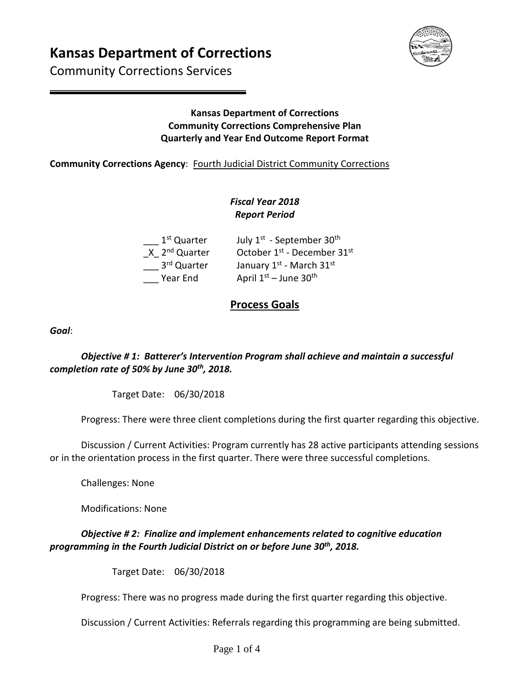# **Kansas Department of Corrections**

Community Corrections Services



#### **Kansas Department of Corrections Community Corrections Comprehensive Plan Quarterly and Year End Outcome Report Format**

#### **Community Corrections Agency**: Fourth Judicial District Community Corrections

## *Fiscal Year 2018 Report Period*

| 1 <sup>st</sup> Quarter   | July 1 <sup>st</sup> - September 30 <sup>th</sup> |
|---------------------------|---------------------------------------------------|
| X 2 <sup>nd</sup> Quarter | October 1st - December 31st                       |
| 3rd Quarter               | January 1st - March 31st                          |
| Year End                  | April $1st$ – June 30 <sup>th</sup>               |

# **Process Goals**

*Goal*:

*Objective # 1: Batterer's Intervention Program shall achieve and maintain a successful completion rate of 50% by June 30th, 2018.* 

Target Date: 06/30/2018

Progress: There were three client completions during the first quarter regarding this objective.

Discussion / Current Activities: Program currently has 28 active participants attending sessions or in the orientation process in the first quarter. There were three successful completions.

Challenges: None

Modifications: None

### *Objective # 2: Finalize and implement enhancements related to cognitive education programming in the Fourth Judicial District on or before June 30th, 2018.*

Target Date: 06/30/2018

Progress: There was no progress made during the first quarter regarding this objective.

Discussion / Current Activities: Referrals regarding this programming are being submitted.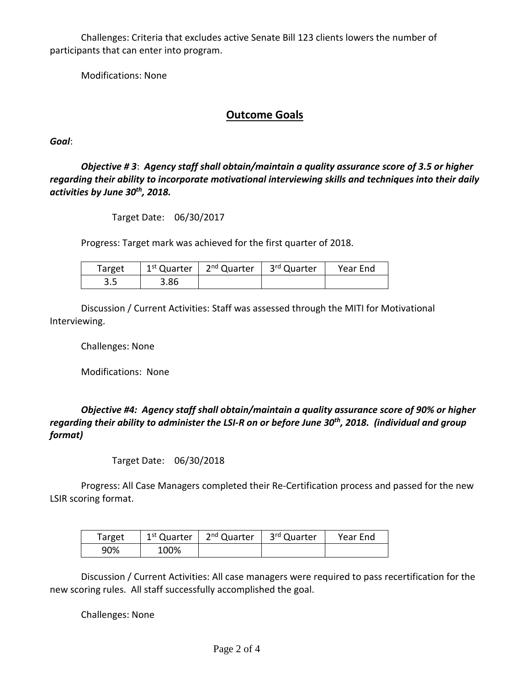Challenges: Criteria that excludes active Senate Bill 123 clients lowers the number of participants that can enter into program.

Modifications: None

### **Outcome Goals**

*Goal*:

*Objective # 3*: *Agency staff shall obtain/maintain a quality assurance score of 3.5 or higher regarding their ability to incorporate motivational interviewing skills and techniques into their daily activities by June 30th, 2018.* 

Target Date: 06/30/2017

Progress: Target mark was achieved for the first quarter of 2018.

| Target | $1st$ Quarter | 2 <sup>nd</sup> Quarter   3 <sup>rd</sup> Quarter | Year End |
|--------|---------------|---------------------------------------------------|----------|
| כ.כ    | 3.86          |                                                   |          |

Discussion / Current Activities: Staff was assessed through the MITI for Motivational Interviewing.

Challenges: None

Modifications: None

*Objective #4: Agency staff shall obtain/maintain a quality assurance score of 90% or higher regarding their ability to administer the LSI-R on or before June 30th, 2018. (individual and group format)* 

Target Date: 06/30/2018

Progress: All Case Managers completed their Re-Certification process and passed for the new LSIR scoring format.

| Target | 1 <sup>st</sup> Quarter | 2 <sup>nd</sup> Quarter | 3 <sup>rd</sup> Quarter | Year End |
|--------|-------------------------|-------------------------|-------------------------|----------|
| 90%    | 100%                    |                         |                         |          |

Discussion / Current Activities: All case managers were required to pass recertification for the new scoring rules. All staff successfully accomplished the goal.

Challenges: None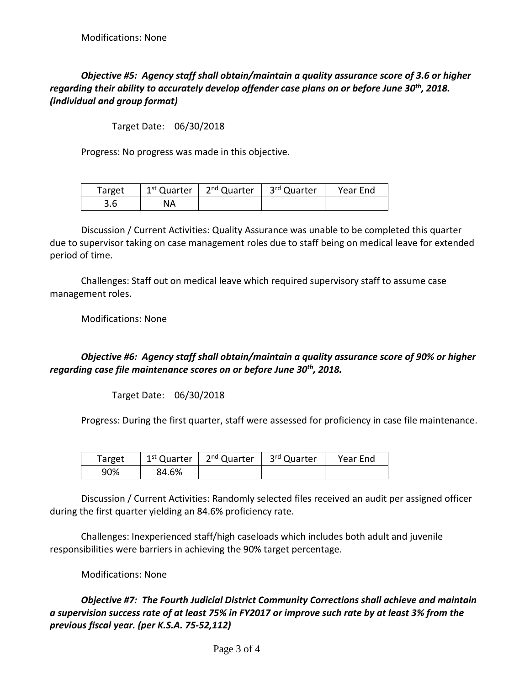### *Objective #5: Agency staff shall obtain/maintain a quality assurance score of 3.6 or higher regarding their ability to accurately develop offender case plans on or before June 30th, 2018. (individual and group format)*

Target Date: 06/30/2018

Progress: No progress was made in this objective.

| Target | 1 <sup>st</sup> Quarter | 2 <sup>nd</sup> Quarter | ∟ 3 <sup>rd</sup> Quarter | Year End |
|--------|-------------------------|-------------------------|---------------------------|----------|
| 3.6    | NA                      |                         |                           |          |

Discussion / Current Activities: Quality Assurance was unable to be completed this quarter due to supervisor taking on case management roles due to staff being on medical leave for extended period of time.

Challenges: Staff out on medical leave which required supervisory staff to assume case management roles.

Modifications: None

#### *Objective #6: Agency staff shall obtain/maintain a quality assurance score of 90% or higher regarding case file maintenance scores on or before June 30th, 2018.*

Target Date: 06/30/2018

Progress: During the first quarter, staff were assessed for proficiency in case file maintenance.

| Target | 1 <sup>st</sup> Quarter | 2 <sup>nd</sup> Quarter | 3 <sup>rd</sup> Quarter | Year End |
|--------|-------------------------|-------------------------|-------------------------|----------|
| 90%    | 84.6%                   |                         |                         |          |

Discussion / Current Activities: Randomly selected files received an audit per assigned officer during the first quarter yielding an 84.6% proficiency rate.

Challenges: Inexperienced staff/high caseloads which includes both adult and juvenile responsibilities were barriers in achieving the 90% target percentage.

Modifications: None

*Objective #7: The Fourth Judicial District Community Corrections shall achieve and maintain a supervision success rate of at least 75% in FY2017 or improve such rate by at least 3% from the previous fiscal year. (per K.S.A. 75-52,112)*